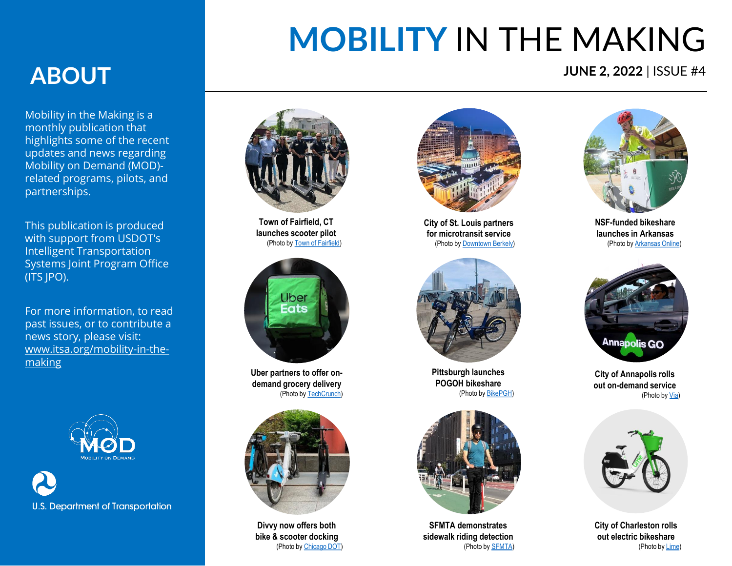# **MOBILITY** IN THE MAKING

#### **JUNE 2, 2022** | ISSUE #4

### **ABOUT**

Mobility in the Making is a monthly publication that highlights some of the recent updates and news regarding Mobility on Demand (MOD) related programs, pilots, and partnerships.

This publication is produced with support from USDOT's Intelligent Transportation Systems Joint Program Office (ITS JPO).

For more information, to read past issues, or to contribute a news story, please visit: [www.itsa.org/mobility-in-the](https://itsa.org/mobility-in-the-making/)making



**U.S. Department of Transportation** 



**Town of Fairfield, CT launches scooter pilot**  (Photo by [Town of Fairfield\)](https://www.fairfieldct.org/news/?FeedID=5080)



**Uber partners to offer ondemand grocery delivery** (Photo by [TechCrunch\)](https://techcrunch.com/2022/05/19/uber-grocery-outlet-pilot-on-demand-scheduled-grocery-delivery/)



**Divvy now offers both bike & scooter docking** (Photo by [Chicago DOT\)](https://secretchicago.com/divvy-is-launching-permanent-electric-scooter-docking-stations/)



**City of St. Louis partners for microtransit service**  (Photo by [Downtown Berkely](https://downtownberkeley.org/st-louis-launches-micro-transit-pilot-for-downtown/))



**Pittsburgh launches POGOH bikeshare** (Photo by [BikePGH](https://bikepgh.org/2022/03/16/announcing-pogoh-new-name-new-bike-share-system-and-e-bikes/))



**SFMTA demonstrates sidewalk riding detection** (Photo by [SFMTA](https://www.sfmta.com/projects/powered-scooter-share-permit-program))



**NSF-funded bikeshare launches in Arkansas** (Photo by [Arkansas Online](https://www.arkansasonline.com/news/2022/may/15/bike-share-program-launches-in-fort-smith/))



**City of Annapolis rolls out on-demand service** (Photo by [Via\)](https://ridewithvia.com/news/annapolis-and-via-launch-on-demand-public-transit-service-as-part-of-city-dock-project)



**City of Charleston rolls out electric bikeshare** (Photo by [Lime](https://www.li.me/locations/charleston))